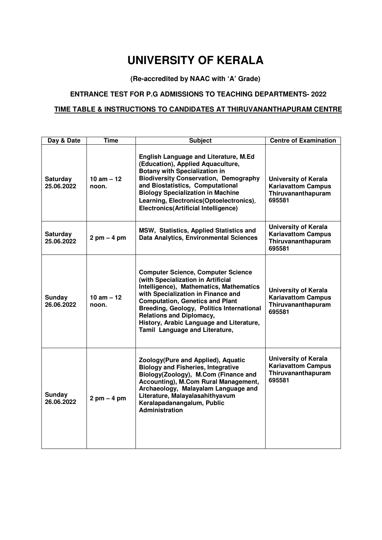# **UNIVERSITY OF KERALA**

## **(Re-accredited by NAAC with 'A' Grade)**

#### **ENTRANCE TEST FOR P.G ADMISSIONS TO TEACHING DEPARTMENTS- 2022**

#### **TIME TABLE & INSTRUCTIONS TO CANDIDATES AT THIRUVANANTHAPURAM CENTRE**

| Day & Date                    | <b>Time</b>                   | <b>Subject</b>                                                                                                                                                                                                                                                                                                                                                           | <b>Centre of Examination</b>                                                             |
|-------------------------------|-------------------------------|--------------------------------------------------------------------------------------------------------------------------------------------------------------------------------------------------------------------------------------------------------------------------------------------------------------------------------------------------------------------------|------------------------------------------------------------------------------------------|
| <b>Saturday</b><br>25.06.2022 | 10 am $-12$<br>noon.          | <b>English Language and Literature, M.Ed</b><br>(Education), Applied Aquaculture,<br><b>Botany with Specialization in</b><br><b>Biodiversity Conservation, Demography</b><br>and Biostatistics, Computational<br><b>Biology Specialization in Machine</b><br>Learning, Electronics(Optoelectronics),<br><b>Electronics(Artificial Intelligence)</b>                      | <b>University of Kerala</b><br><b>Kariavattom Campus</b><br>Thiruvananthapuram<br>695581 |
| Saturday<br>25.06.2022        | $2 \text{ pm} - 4 \text{ pm}$ | MSW, Statistics, Applied Statistics and<br><b>Data Analytics, Environmental Sciences</b>                                                                                                                                                                                                                                                                                 | <b>University of Kerala</b><br><b>Kariavattom Campus</b><br>Thiruvananthapuram<br>695581 |
| Sunday<br>26.06.2022          | 10 am $-12$<br>noon.          | <b>Computer Science, Computer Science</b><br>(with Specialization in Artificial<br>Intelligence), Mathematics, Mathematics<br>with Specialization in Finance and<br><b>Computation, Genetics and Plant</b><br>Breeding, Geology, Politics International<br><b>Relations and Diplomacy,</b><br>History, Arabic Language and Literature,<br>Tamil Language and Literature, | <b>University of Kerala</b><br><b>Kariavattom Campus</b><br>Thiruvananthapuram<br>695581 |
| <b>Sunday</b><br>26.06.2022   | $2$ pm $-$ 4 pm               | Zoology(Pure and Applied), Aquatic<br><b>Biology and Fisheries, Integrative</b><br>Biology(Zoology), M.Com (Finance and<br>Accounting), M.Com Rural Management,<br>Archaeology, Malayalam Language and<br>Literature, Malayalasahithyavum<br>Keralapadanangalum, Public<br>Administration                                                                                | <b>University of Kerala</b><br><b>Kariavattom Campus</b><br>Thiruvananthapuram<br>695581 |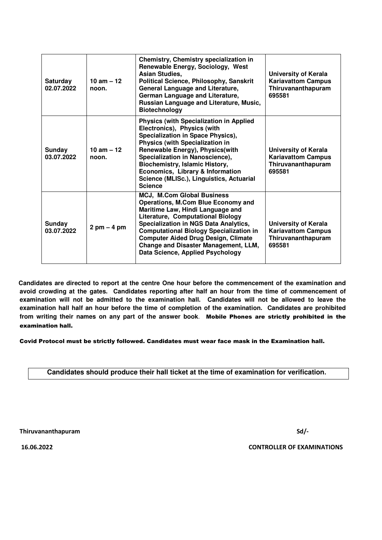| <b>Saturday</b><br>02.07.2022 | $10 \text{ am} - 12$<br>noon. | Chemistry, Chemistry specialization in<br>Renewable Energy, Sociology, West<br><b>Asian Studies,</b><br><b>Political Science, Philosophy, Sanskrit</b><br>General Language and Literature,<br>German Language and Literature,<br>Russian Language and Literature, Music,<br><b>Biotechnology</b>                                                                              | <b>University of Kerala</b><br><b>Kariavattom Campus</b><br>Thiruvananthapuram<br>695581 |
|-------------------------------|-------------------------------|-------------------------------------------------------------------------------------------------------------------------------------------------------------------------------------------------------------------------------------------------------------------------------------------------------------------------------------------------------------------------------|------------------------------------------------------------------------------------------|
| Sunday<br>03.07.2022          | 10 am $-12$<br>noon.          | <b>Physics (with Specialization in Applied</b><br>Electronics), Physics (with<br>Specialization in Space Physics),<br><b>Physics (with Specialization in</b><br>Renewable Energy), Physics(with<br>Specialization in Nanoscience),<br><b>Biochemistry, Islamic History,</b><br>Economics, Library & Information<br>Science (MLISc.), Linguistics, Actuarial<br><b>Science</b> | University of Kerala<br><b>Kariavattom Campus</b><br>Thiruvananthapuram<br>695581        |
| Sunday<br>03.07.2022          | $2$ pm $-4$ pm                | <b>MCJ, M.Com Global Business</b><br><b>Operations, M.Com Blue Economy and</b><br>Maritime Law, Hindi Language and<br>Literature, Computational Biology<br>Specialization in NGS Data Analytics,<br><b>Computational Biology Specialization in</b><br><b>Computer Aided Drug Design, Climate</b><br>Change and Disaster Management, LLM,<br>Data Science, Applied Psychology  | <b>University of Kerala</b><br><b>Kariavattom Campus</b><br>Thiruvananthapuram<br>695581 |

 **Candidates are directed to report at the centre One hour before the commencement of the examination and avoid crowding at the gates. Candidates reporting after half an hour from the time of commencement of examination will not be admitted to the examination hall. Candidates will not be allowed to leave the examination hall half an hour before the time of completion of the examination. Candidates are prohibited from writing their names on any part of the answer book**. Mobile Phones are strictly prohibited in the examination hall.

Covid Protocol must be strictly followed. Candidates must wear face mask in the Examination hall.

#### **Candidates should produce their hall ticket at the time of examination for verification**.

Thiruvananthapuram Sd/-

16.06.2022 CONTROLLER OF EXAMINATIONS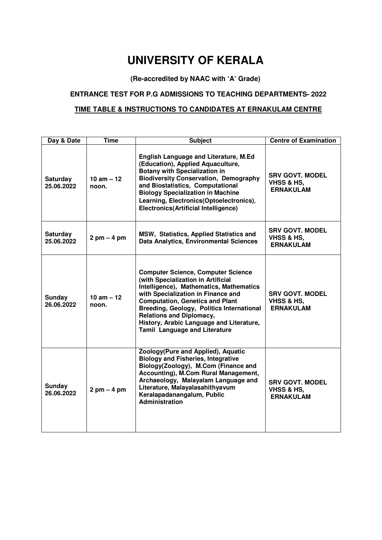# **UNIVERSITY OF KERALA**

### **(Re-accredited by NAAC with 'A' Grade)**

#### **ENTRANCE TEST FOR P.G ADMISSIONS TO TEACHING DEPARTMENTS- 2022**

### **TIME TABLE & INSTRUCTIONS TO CANDIDATES AT ERNAKULAM CENTRE**

| Day & Date                    | Time                          | <b>Subject</b>                                                                                                                                                                                                                                                                                                                                                                 | <b>Centre of Examination</b>                                        |
|-------------------------------|-------------------------------|--------------------------------------------------------------------------------------------------------------------------------------------------------------------------------------------------------------------------------------------------------------------------------------------------------------------------------------------------------------------------------|---------------------------------------------------------------------|
| <b>Saturday</b><br>25.06.2022 | 10 am $-12$<br>noon.          | <b>English Language and Literature, M.Ed</b><br>(Education), Applied Aquaculture,<br><b>Botany with Specialization in</b><br><b>Biodiversity Conservation, Demography</b><br>and Biostatistics, Computational<br><b>Biology Specialization in Machine</b><br>Learning, Electronics(Optoelectronics),<br><b>Electronics(Artificial Intelligence)</b>                            | <b>SRV GOVT. MODEL</b><br><b>VHSS &amp; HS,</b><br><b>ERNAKULAM</b> |
| <b>Saturday</b><br>25.06.2022 | $2 \text{ pm} - 4 \text{ pm}$ | MSW, Statistics, Applied Statistics and<br><b>Data Analytics, Environmental Sciences</b>                                                                                                                                                                                                                                                                                       | <b>SRV GOVT. MODEL</b><br>VHSS & HS,<br><b>ERNAKULAM</b>            |
| Sunday<br>26.06.2022          | $10$ am $-12$<br>noon.        | <b>Computer Science, Computer Science</b><br>(with Specialization in Artificial<br>Intelligence), Mathematics, Mathematics<br>with Specialization in Finance and<br><b>Computation, Genetics and Plant</b><br>Breeding, Geology, Politics International<br><b>Relations and Diplomacy,</b><br>History, Arabic Language and Literature,<br><b>Tamil Language and Literature</b> | <b>SRV GOVT. MODEL</b><br>VHSS & HS,<br><b>ERNAKULAM</b>            |
| <b>Sunday</b><br>26.06.2022   | $2$ pm $-4$ pm                | Zoology(Pure and Applied), Aquatic<br><b>Biology and Fisheries, Integrative</b><br>Biology(Zoology), M.Com (Finance and<br>Accounting), M.Com Rural Management,<br>Archaeology, Malayalam Language and<br>Literature, Malayalasahithyavum<br>Keralapadanangalum, Public<br><b>Administration</b>                                                                               | <b>SRV GOVT. MODEL</b><br>VHSS & HS,<br><b>ERNAKULAM</b>            |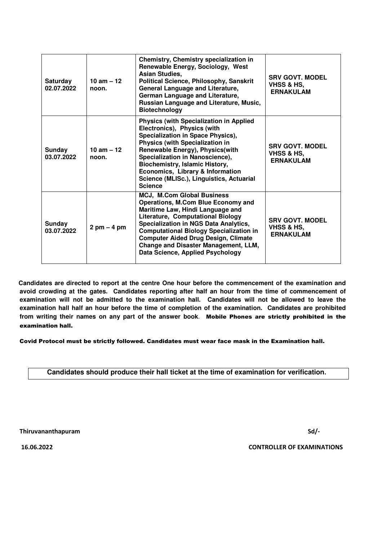| <b>Saturday</b><br>02.07.2022 | $10 \text{ am} - 12$<br>noon. | Chemistry, Chemistry specialization in<br>Renewable Energy, Sociology, West<br><b>Asian Studies,</b><br><b>Political Science, Philosophy, Sanskrit</b><br>General Language and Literature,<br>German Language and Literature,<br>Russian Language and Literature, Music,<br><b>Biotechnology</b>                                                                                    | <b>SRV GOVT. MODEL</b><br>VHSS & HS,<br><b>ERNAKULAM</b>            |
|-------------------------------|-------------------------------|-------------------------------------------------------------------------------------------------------------------------------------------------------------------------------------------------------------------------------------------------------------------------------------------------------------------------------------------------------------------------------------|---------------------------------------------------------------------|
| Sunday<br>03.07.2022          | $10$ am $-12$<br>noon.        | <b>Physics (with Specialization in Applied</b><br>Electronics), Physics (with<br>Specialization in Space Physics),<br><b>Physics (with Specialization in</b><br>Renewable Energy), Physics(with<br>Specialization in Nanoscience),<br><b>Biochemistry, Islamic History,</b><br>Economics, Library & Information<br>Science (MLISc.), Linguistics, Actuarial<br><b>Science</b>       | <b>SRV GOVT. MODEL</b><br><b>VHSS &amp; HS.</b><br><b>ERNAKULAM</b> |
| Sunday<br>03.07.2022          | $2 \text{ pm} - 4 \text{ pm}$ | <b>MCJ, M.Com Global Business</b><br>Operations, M.Com Blue Economy and<br>Maritime Law, Hindi Language and<br>Literature, Computational Biology<br><b>Specialization in NGS Data Analytics,</b><br><b>Computational Biology Specialization in</b><br><b>Computer Aided Drug Design, Climate</b><br><b>Change and Disaster Management, LLM,</b><br>Data Science, Applied Psychology | <b>SRV GOVT. MODEL</b><br>VHSS & HS,<br><b>ERNAKULAM</b>            |

 **Candidates are directed to report at the centre One hour before the commencement of the examination and avoid crowding at the gates. Candidates reporting after half an hour from the time of commencement of examination will not be admitted to the examination hall. Candidates will not be allowed to leave the examination hall half an hour before the time of completion of the examination. Candidates are prohibited from writing their names on any part of the answer book**. Mobile Phones are strictly prohibited in the examination hall.

Covid Protocol must be strictly followed. Candidates must wear face mask in the Examination hall.

#### **Candidates should produce their hall ticket at the time of examination for verification**.

Thiruvananthapuram Sd/-

16.06.2022 CONTROLLER OF EXAMINATIONS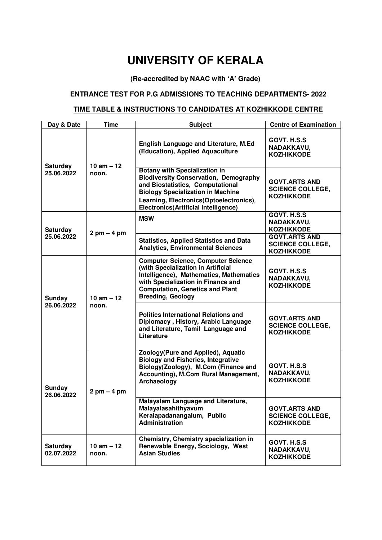# **UNIVERSITY OF KERALA**

### **(Re-accredited by NAAC with 'A' Grade)**

#### **ENTRANCE TEST FOR P.G ADMISSIONS TO TEACHING DEPARTMENTS- 2022**

### **TIME TABLE & INSTRUCTIONS TO CANDIDATES AT KOZHIKKODE CENTRE**

| Day & Date                    | <b>Time</b>                   | <b>Subject</b>                                                                                                                                                                                                                                                 | <b>Centre of Examination</b>                                         |
|-------------------------------|-------------------------------|----------------------------------------------------------------------------------------------------------------------------------------------------------------------------------------------------------------------------------------------------------------|----------------------------------------------------------------------|
| <b>Saturday</b><br>25.06.2022 | $10$ am $-12$<br>noon.        | <b>English Language and Literature, M.Ed</b><br>(Education), Applied Aquaculture                                                                                                                                                                               | GOVT. H.S.S<br>NADAKKAVU,<br><b>KOZHIKKODE</b>                       |
|                               |                               | <b>Botany with Specialization in</b><br><b>Biodiversity Conservation, Demography</b><br>and Biostatistics, Computational<br><b>Biology Specialization in Machine</b><br>Learning, Electronics(Optoelectronics),<br><b>Electronics(Artificial Intelligence)</b> | <b>GOVT.ARTS AND</b><br><b>SCIENCE COLLEGE,</b><br><b>KOZHIKKODE</b> |
| Saturday<br>25.06.2022        | $2$ pm $-$ 4 pm               | <b>MSW</b>                                                                                                                                                                                                                                                     | GOVT. H.S.S<br>NADAKKAVU,<br><b>KOZHIKKODE</b>                       |
|                               |                               | <b>Statistics, Applied Statistics and Data</b><br><b>Analytics, Environmental Sciences</b>                                                                                                                                                                     | <b>GOVT.ARTS AND</b><br><b>SCIENCE COLLEGE,</b><br><b>KOZHIKKODE</b> |
| Sunday<br>26.06.2022          | $10$ am $-12$<br>noon.        | <b>Computer Science, Computer Science</b><br>(with Specialization in Artificial<br>Intelligence), Mathematics, Mathematics<br>with Specialization in Finance and<br><b>Computation, Genetics and Plant</b><br><b>Breeding, Geology</b>                         | GOVT. H.S.S<br>NADAKKAVU,<br><b>KOZHIKKODE</b>                       |
|                               |                               | <b>Politics International Relations and</b><br>Diplomacy, History, Arabic Language<br>and Literature, Tamil Language and<br>Literature                                                                                                                         | <b>GOVT.ARTS AND</b><br><b>SCIENCE COLLEGE,</b><br><b>KOZHIKKODE</b> |
| <b>Sunday</b><br>26.06.2022   | $2 \text{ pm} - 4 \text{ pm}$ | Zoology(Pure and Applied), Aquatic<br><b>Biology and Fisheries, Integrative</b><br>Biology(Zoology), M.Com (Finance and<br>Accounting), M.Com Rural Management,<br>Archaeology                                                                                 | GOVT. H.S.S<br>NADAKKAVU,<br><b>KOZHIKKODE</b>                       |
|                               |                               | Malayalam Language and Literature,<br>Malayalasahithyavum<br>Keralapadanangalum, Public<br><b>Administration</b>                                                                                                                                               | <b>GOVT.ARTS AND</b><br><b>SCIENCE COLLEGE,</b><br><b>KOZHIKKODE</b> |
| <b>Saturday</b><br>02.07.2022 | $10$ am $-12$<br>noon.        | Chemistry, Chemistry specialization in<br>Renewable Energy, Sociology, West<br><b>Asian Studies</b>                                                                                                                                                            | GOVT. H.S.S<br>NADAKKAVU,<br><b>KOZHIKKODE</b>                       |